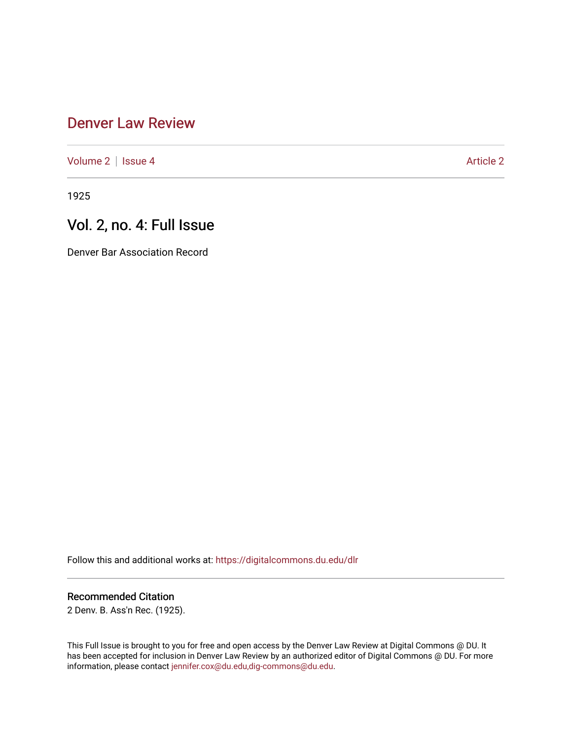## [Denver Law Review](https://digitalcommons.du.edu/dlr)

[Volume 2](https://digitalcommons.du.edu/dlr/vol2) | [Issue 4](https://digitalcommons.du.edu/dlr/vol2/iss4) Article 2

1925

# Vol. 2, no. 4: Full Issue

Denver Bar Association Record

Follow this and additional works at: [https://digitalcommons.du.edu/dlr](https://digitalcommons.du.edu/dlr?utm_source=digitalcommons.du.edu%2Fdlr%2Fvol2%2Fiss4%2F2&utm_medium=PDF&utm_campaign=PDFCoverPages) 

### Recommended Citation

2 Denv. B. Ass'n Rec. (1925).

This Full Issue is brought to you for free and open access by the Denver Law Review at Digital Commons @ DU. It has been accepted for inclusion in Denver Law Review by an authorized editor of Digital Commons @ DU. For more information, please contact [jennifer.cox@du.edu,dig-commons@du.edu.](mailto:jennifer.cox@du.edu,dig-commons@du.edu)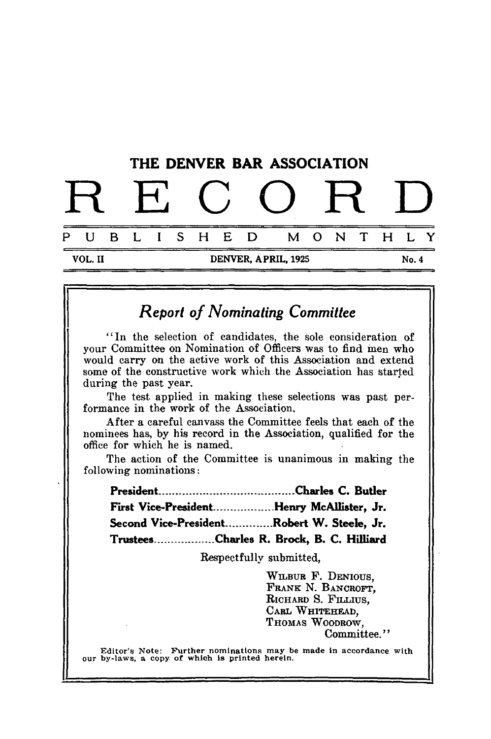

## *Report of Nominating Committee*

"In the selection of candidates, the sole consideration of your Committee on Nomination of Officers **was** to find **men who** would carry *on* the active work of this Association and extend some of the constructive work which the Association has started during the past year.

The test applied in making these selections was past performance in the work of the Association.

After a careful canvass the Committee feels that each of the nominees has, by his record in the Association, qualified for the office for which he is named.

The action of the Committee is unanimous in making the following nominations:

| First Vice-PresidentHenry McAllister, Jr.  |  |
|--------------------------------------------|--|
| Second Vice-PresidentRobert W. Steele, Jr. |  |
| TrusteesCharles R. Brock, B. C. Hilliard   |  |

Respectfully submitted,

WILBUR F. DENIOUS, FRANK N. BANCROFT, RICHARD S. FILLIUS. CARL WHITEHEAD, THOMAS WOODROW, Committee."

Editor's Note: Further nominations may be made in accordance with our by-laws, a copy of which is printed herein.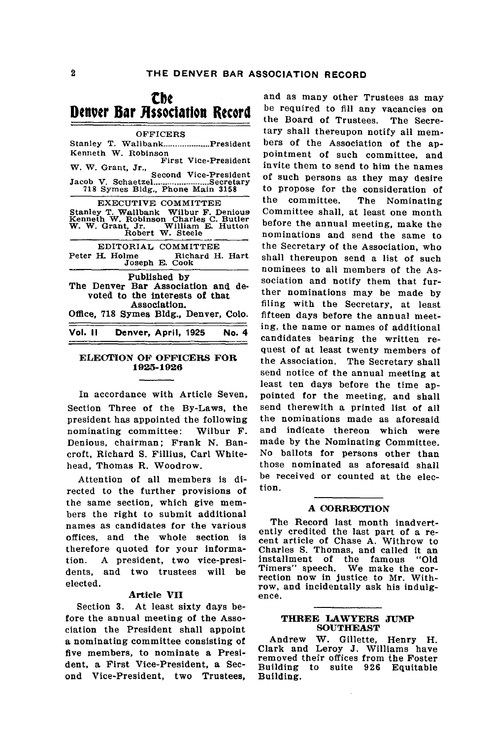### **Cbe** Denver Bar Association Record

| <b>OFFICERS</b>                                                                                                                                                 |
|-----------------------------------------------------------------------------------------------------------------------------------------------------------------|
| Stanley T. WallbankPresident<br>Kenneth W. Robinson<br>First Vice-President<br>W. W. Grant, Jr.,<br>Second Vice-President                                       |
| Jacob V. SchaetzelSecretary<br>718 Symes Bldg., Phone Main 3158                                                                                                 |
| EXECUTIVE COMMITTEE<br>Stanley T. Wallbank Wilbur F. Denious<br>Kenneth W. Robinson Charles C. Butler<br>W. W. Grant, Jr. William E. Hutton<br>Robert W. Steele |
| EDITORIAL COMMITTEE<br>Peter H. Holme Richard H. Hart<br>Joseph E. Cook                                                                                         |
| Published by<br>The Denver Bar Association and de-<br>voted to the interests of that<br>Association.<br>Office, 718 Symes Bldg., Denver, Colo.                  |
| Vol. II<br>Denver, April, 1925<br>No. 4                                                                                                                         |
|                                                                                                                                                                 |

#### **ELECTION OF OFFICERS FOR 1925-1926**

In accordance with Article Seven, Section Three of the By-Laws, the president has appointed the following nominating committee: Wilbur F. Denious, chairman; Frank **N.** Bancroft, Richard **S.** Fillius, Carl Whitehead, Thomas R. Woodrow.

Attention of all members is directed to the further provisions of the same section, which give members the right to submit additional names as candidates for the various offices, and the whole section is therefore quoted for your information. **A** president, two vice-presidents, and two trustees will be elected.

#### **Article VII**

Section **3.** At least sixty days before the annual meeting of the Association the President shall appoint a nominating committee consisting of five members, to nominate a President, a First Vice-President, a Second Vice-President, two Trustees,

and as many other Trustees as may be required to fill any vacancies on the Board of Trustees. The Secretary shall thereupon notify all members of the Association of the appointment of such committee, and invite them to send to him the names of such persons as they may desire to propose for the consideration of the committee. The Nominating Committee shall, at least one month before the annual meeting, make the nominations and send the same to the Secretary of the Association, who shall thereupon send a list of such nominees to all members of the Association and notify them that further nominations may be made by filing with the Secretary, at least fifteen days before the annual meeting, the name or names of additional candidates bearing the written request of at least twenty members of the Association. The Secretary shall send notice of the annual meeting at least ten days before the time appointed for the meeting, and shall send therewith a printed list of all the nominations made as aforesaid and indicate thereon which were made by the Nominating Committee. No ballots for persons other than those nominated as aforesaid shall be received or counted at the election.

#### **A CORRECTION**

The Record last month inadvertently credited the last part of a reently credited the last part of a re-<br>cent article of Chase A. Withrow to Charles S. Thomas, and called it an installment of the famous "Old installment of the famous "Old<br>Timers" speech. We make the cor-<br>rection now in justice to Mr. Withrow, and incidentally ask his indulg- ence.

#### **THREE LAWYERS JUMP SOUTHEAST**

Andrew W. Gillette, Henry H. Clark and Leroy **J.** Williams have removed their offices from the Foster Building to suite **926** Equitable Building.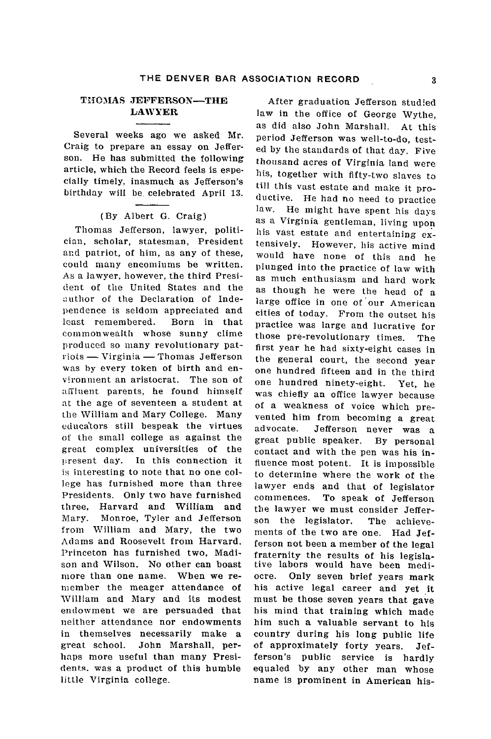#### **ThO3AS** JEFFERSON-THE **LAWYER**

Several weeks ago we asked Mr. Craig to prepare an essay on Jefferson. He has submitted the following article, which the Record feels is especially timely, inasmuch as Jefferson's birthday will be celebrated April 13.

#### (By Albert G. Craig)

Thomas Jefferson, lawyer, politician, scholar, statesman, President and patriot, of him, as any of these, could many encomiums be written. As a lawyer, however, the third Presi- (ent of tile United States and the author of the Declaration of Independence is seldom appreciated and least remembered. Born in that commonwealth whose sunny clime produced so many revolutionary pat $rots \longrightarrow Virginia \longrightarrow Thomas\ Jefferson$ was by every token of birth and environment an aristocrat. The son of affluent parents, he found himself at the age of seventeen a student at the William and Mary College. Many educators still bespeak the virtues of the small college as against the great complex universities of the present day. In this connection it is interesting to note that no one college has furnished more than three Presidents. Only two have furnished three, Harvard and William and Mary. Monroe, Tyler and Jefferson from William and Mary, the two Adams and Roosevelt from Harvard. Princeton has furnished two, Madison and Wilson. No other can boast more than one name. When we remember the meager attendance of William and Mary and its modest endowment we are persuaded that neither attendance nor endowments in themselves necessarily make a great school. John Marshall, perhaps more useful than many Presidents, was a product of this humble little Virginia college.

After graduation Jefferson studied law in the office of George Wythe, as did also John Marshall. At this period Jefferson was well-to-do, tested by the standards of that day. Five thousand acres of Virginia land were his, together with fifty-two slaves to till this vast estate and make it productive. He had no need to practice law. He might have spent his days as a Virginia gentleman, living upon his vast estate and entertaining extensively. However, his active mind would have none of this and he plunged into the practice of law with as much enthusiasm and hard work as though he were the head of a large office in one of 'our American cities of today. From the outset his practice was large and lucrative for those pre-revolutionary times. The first year he had sixty-eight cases in the general court, the second year one hundred fifteen and in the third one hundred ninety-eight. Yet, he was chiefly an office lawyer because of a weakness of voice which prevented him from becoming a great advocate. Jefferson never was a great public speaker. By personal contact and with the pen was his influence most potent. It is impossible to determine where the work of the lawyer ends and that of legislator commences. To speak of Jefferson the lawyer we must consider Jefferson the legislator. The achievements of the two are one. Had Jefferson not been a member of the legal fraternity the results of his legislative labors would have been mediocre. Only seven brief years mark his active legal career and yet it must be those seven years that gave his mind that training which made him such a valuable servant to his country during his long public life of approximately forty years. Jefferson's public service is hardly equaled by any other man whose name is prominent in American his-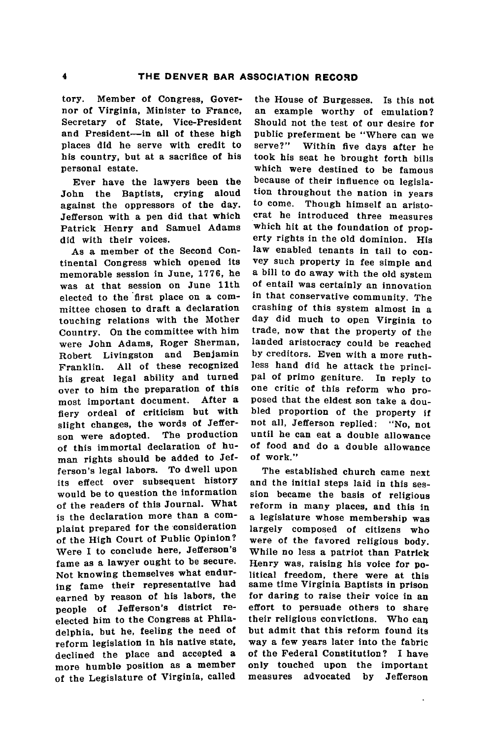tory. Member of Congress, Governor of Virginia, Minister to France, Secretary of State, Vice-President and President-in all of these high places **did** he serve with credit to his country, but at a sacrifice of his personal estate.

Ever have the lawyers been the John the Baptists, crying aloud against the oppressors of the day. Jefferson with a pen did that which Patrick Henry and Samuel Adams did with their voices.

As a member of the Second Continental Congress which opened its memorable session in June, **1776,** he was at that session on June 11th elected to the first place on a committee chosen to draft a declaration touching relations with the Mother Country. On the committee with him were John Adams, Roger Sherman, Robert Livingston and Benjamin Franklin. **All** of these recognized his great legal ability and turned over to him the preparation of this most important document. After a fiery ordeal of criticism but with slight changes, the words of Jeffer-<br>son were adopted. The production son were adopted. of this immortal declaration of human rights should be added to Jefferson's legal labors. To dwell upon its effect over subsequent history would be to question the information of the readers of this Journal. What is the declaration more than a complaint prepared for the consideration of the High Court of Public Opinion? Were **I** to conclude here, Jefferson's fame as a lawyer ought to be secure. Not knowing themselves what enduring fame their representative had earned **by** reason of his labors, the people of Jefferson's district reelected him to the Congress at Philadelphia, but he, feeling the need of reform legislation in his native state, declined the place and accepted a more humble position as a member of the Legislature of Virginia, called

the House of Burgesses. Is this not an example worthy of emulation? Should not the test of our desire for public preferment be "Where can we serve?" Within five days after he took his seat he brought forth bills which were destined to be famous because of their influence on legislation throughout the nation in years to come. Though himself an aristocrat he introduced three measures which hit at the foundation of property rights in the old dominion. His law enabled tenants in tail to convey such property in fee simple and a bill to do away with the old system of entail was certainly an innovation in that conservative community. The crashing of this system almost in a day did much to open Virginia to trade, now that the property of the landed aristocracy could be reached **by** creditors. Even with a more ruthless hand did he attack the principal of primo geniture. In reply to one critic of this reform who proposed that the eldest son take a doubled proportion of the property if not all, Jefferson replied: "No, not until he can eat a double allowance of food and do a double allowance of work."

The established church came next and the initial steps laid in this session became the basis of religious reform in many places, and this in a legislature whose membership was largely composed of citizens who were of the favored religious body. While no less a patriot than Patrick Henry was, raising his voice for political freedom, there were at this same time Virginia Baptists in prison for daring to raise their voice in an effort to persuade others to share their religious convictions. Who can but admit that this reform found its way a few years later into the fabric of the Federal Constitution? I have only touched upon the important measures advocated **by** Jefferson

.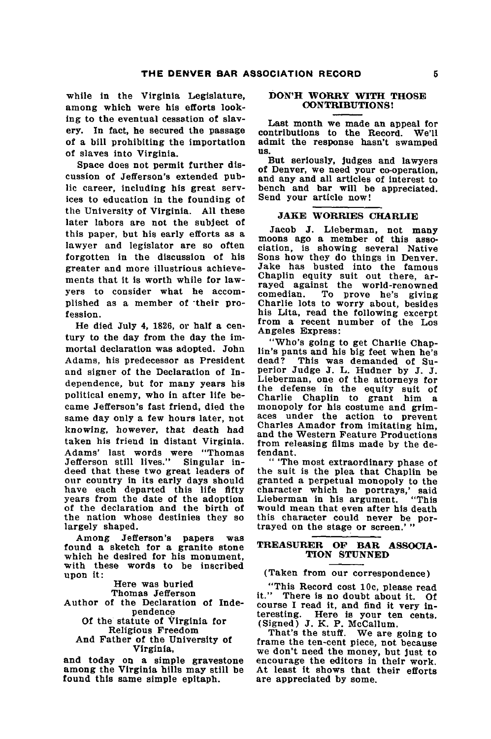while in the Virginia Legislature, among which were his efforts looking to the eventual cessation of slavery. In fact, he secured the passage of a **bill** prohibiting the importation of slaves into Virginia.

Space does not permit further discussion of Jefferson's extended public career, including his great services to education in the founding of the University of Virginia. **All** these later labors are not the subject of this paper, but his early efforts as a lawyer and legislator are so often forgotten in the discussion of his greater and more illustrious achievements that it is worth while for lawyers to consider what he accomplished as a member of their profession.

He died July 4, **1826,** or half a century to the day from the day the immortal declaration was adopted. John Adams, his predecessor as President and signer of the Declaration of Independence, but for many years his political enemy, who in after life became Jefferson's fast friend, died the same day only a few hours later, not knowing, however, that death had taken his friend in distant Virginia. Adams' last words were "Thomas Jefferson still lives." Singular indeed that these two great leaders of our country in its early days should have each departed this life fifty years from the date of the adoption of the declaration and the birth of the nation whose destinies they so largely shaped.

Among Jefferson's papers was found a sketch for a granite stone which he desired for his monument, with these words to be inscribed upon it:

Here was buried

Thomas Jefferson

Author of the Declaration of Independence

**Of** the statute of Virginia for Religious Freedom

And Father of the University of Virginia,

and today on a simple gravestone among the Virginia hills may still be found this same simple epitaph.

#### **DON'H WORRY WITH THOSE CONTRIBUTIONS!**

Last month we made an appeal for contributions to the Record. We'll admit the response hasn't swamped **US.**

But seriously, judges and lawyers of Denver, we need your co-operation, and any and all articles of interest to bench and bar will be appreciated. Send your article now!

#### **JAKE WORRIES CHARLIE**

Jacob **J.** Lieberman, not many moons ago a member of this asso-<br>ciation, is showing several Native Sons how they do things in Denver. Jake has busted into the famous Chaplin equity suit out there, ar-<br>rayed against the world-renowned<br>comedian. To prove he's giving To prove he's giving Charlie lots to worry about, besides his Lita, read the following excerpt from a recent number of the Los<br>Angeles Express:

"Who's going to get Charlie Chaplin's pants and his **big** feet when he's This was demanded of Superior Judge **J.** L. Hudner **by J. J.** Lieberman, one of the attorneys for the defense in the equity suit of Charlie Chaplin to grant him a monopoly for his costume and grim- aces under the action to prevent Charles Amador from imitating him, and the Western Feature Productions from releasing films made **by** the defendant.

**"** 'The most extraordinary phase **of** the suit is the plea that Chaplin be granted a perpetual monopoly to the character which he portrays,' said Lieberman in his argument. "This would mean that even after his death this character could never be portrayed on the stage or screen.'

#### **TREASURER OF BAR ASSOCIA-TION STUNNED**

#### (Taken from our correspondence)

"This Record cost **10c,** please read course I read it, and find it very interesting. Here is your ten cents. (Signed) **J.** K. P. McCallum.

That's the stuff. We are going to frame the ten-cent piece, not because we don't need the money, **but** just to encourage the editors in their work. At least it shows that their efforts are appreciated **by** some.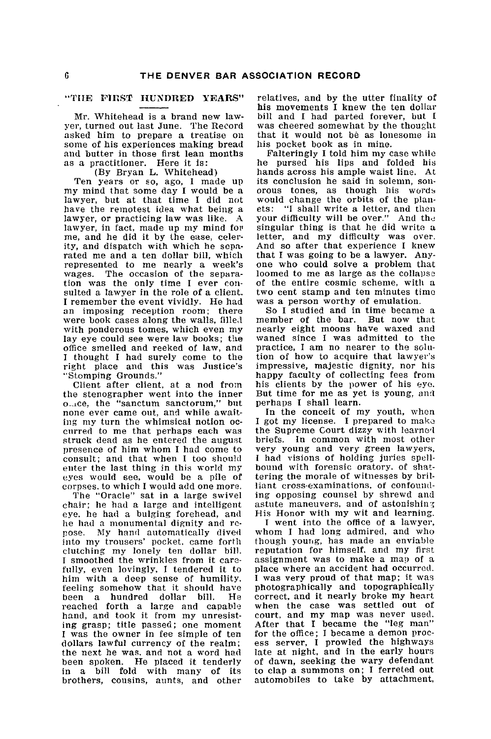#### **"TILE FIRST HUNDRED YEARS"**

Mr. Whitehead is a brand new lawyer, turned out last June. The Record asked him to prepare a treatise on some of his experiences making bread and butter in those first lean months as a practitioner. Here it is:

(By Bryan L. Whitehead) Ten years or so, ago, I made up my mind that some day I would be a lawyer, but at that time I did not have the remotest idea what being a lawyer, or practicing law was like. **A** lawyer, in fact, made up my mind for me, and he did it by the ease, celerity, and dispatch with which he separated me and a ten dollar bill, which represented to me nearly a week's wages. The occasion of the separation was the only time I ever consuited a lawyer in the role of a client. I remember the event vividly. He had an imposing reception room; there were book cases along the walls, filled with ponderous tomes, which even my lay eye could see were law books; the office smelled and reeked of law, and I thought I had surely come to the right place and this was Justice's "Stomping Grounds."

Client after client, at a nod from the stenographer went into the inner o\_\_ice, the "sanctum sanctorum," but none ever came out, and while awaiting my turn the whimsical notion occurred to me that perhaps each was struck dead as he entered the august presence of him whom I had come to consult; and that when I too should enter the last thing in this world my eyes would see, would be a pile of corpses, to which I would add one more. The "Oracle" sat in a large swivel

chair; he had a large and intelligent eye. he had a bulging forehead, and he had a monumental dignity and repose. **My** hand automatically dived into my trousers' pocket, came forth clutching my lonely ten dollar bill. I smoothed the wrinkles from it carefully, even lovingly, I tendered it to him with a deep sense of humility. feeling somehow that it should have been a hundred dollar bill. He reached forth a large and capable hand, and took it from my unresisting grasp; title passed; one moment I was the owner in fee simple of ten dollars lawful currency of the realm; the next he was. and not a word had been spoken. He placed it tenderly in a bill fold with many of its brothers, cousins, aunts, and other

relatives, and by the utter finality of his movements I knew the ten dollar bill and I had parted forever, but **I** was cheered somewhat by the thought that it would not be as lonesome in his pocket book as in mine.

Falteringly I told him my case while he pursed his lips and folded his hands across his ample waist line. At its conclusion he said in solemn, sonorous tones, as though his words would change the orbits of the planets: "I shall write a letter, and then your difficulty will be over." And **thj** singular thing is that he did write a letter, and my difficulty was over. And so after that experience I knew that I was going to be a lawyer. Anyone who could solve a problem that loomed to me as large as the collapse of the entire cosmic scheme, with a two cent stamp and ten minutes time was a person worthy of emulation.

So I studied and in time became a member of the bar. But now that nearly eight moons have waxed and waned since I was admitted to the practice, I am no nearer to the solution of how to acquire that lawyer's impressive, majestic dignity, nor his happy faculty of collecting fees from his clients by the power of his eye. But time for me as yet is young, and perhaps I shall learn.

In the conceit of my youth, when I got my license. I prepared to make the Supreme Court dizzy with learne'1 briefs. In common with most other very young and very green lawyers, I had visions of holding juries spellbound with forensic oratory, of shattering the morale of witnesses by brilliant cross-examinations, of confounding opposing counsel by shrewd and astute maneuvers, and of astonishing His Honor with my wit and learning.

I went into the office of a lawyer, whom I had long admired, and who though young, has made an enviable reputation for himself, and my first assignment was to make a map of a place where an accident had occurred. I was very proud of that map; it was photographically and topographically correct, and it nearly broke my heart when the case was settled out of<br>court, and my map was never used<br>After that I became the "leg man" for the office; I became a demon process server, I prowled the highways late at night, and in the early hours of dawn, seeking the wary defendant to clap a summons on; I ferreted out automobiles to take by attachment,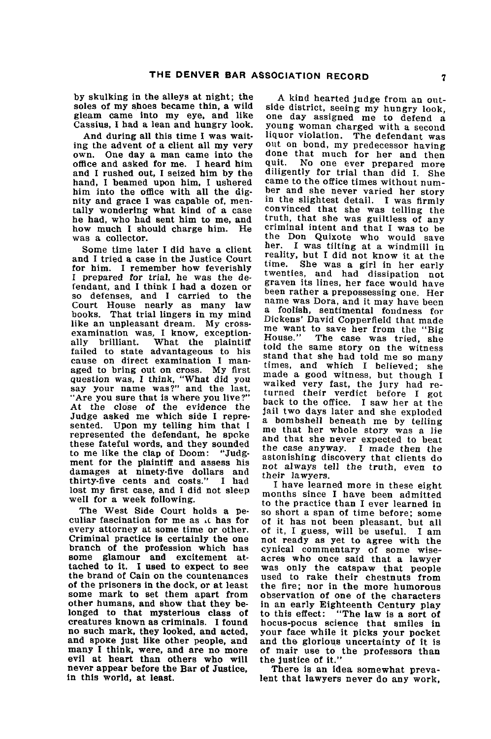**by** skulking in the alleys at night; the soles of my shoes became thin, a wild gleam came into my eye, and like Cassius, **I** had a lean and hungry look.

And during all this time **I** was waiting the advent of a client all my very own. One day a man came into the office and asked for me. I heard him and I rushed out, I seized him by the hand, I beamed upon him, I ushered him into the office with all the dignity and grace I was capable of, mentally wondering what kind of a case he had, who had sent him to me, and how much I should charge him. He was a collector.

Some time later I did have a client and I tried a case in the Justice Court for him. I remember how feverishly I prepared for trial, he was the defendant, and I think I had a dozen or so defenses, and I carried to the Court House nearly as many law books. That trial lingers in my mind<br>like an unpleasant dream. My crosslike an unpleasant dream. My cross- examination was, I know, exceptionally brilliant. What the plaintiff failed to state advantageous to his cause on direct examination I man-<br>aged to bring out on cross. My first question was, I think, "What **did** you say your name was?" and the last, "Are you sure that is where you live?" At the close of the evidence the Judge asked me which side I represented. Upon my telling him that I represented the defendant, he spoke these fateful words, and they sounded to me like the clap of Doom: "Judgment for the plaintiff and assess his damages at ninety-five dollars and thirty-five cents and costs." **I** had lost my first case, and **I** did not sleep well for a week following.

The West Side Court holds a peculiar fascination for me as .c has for every attorney at some time or other.<br>Criminal practice is certainly the one branch of the profession which has some glamour and excitement attached to it. I used to expect to see the brand of Cain on the countenances of the prisoners in the dock, or at least some mark to set them apart from other humans, and show that they belonged to that mysterious class of creatures known as criminals. I found no such mark, they looked, and acted, and spoke just like other people, and many I think, were, and are no more evil at heart than others who will never appear before the Bar of Justice, never appear before the Bar of Justice,<br>in this world, at least.

A kind hearted judge from an outside district, seeing my hungry look, one day assigned me to defend a young woman charged with a second liquor violation. The defendant was out on bond, **my** predecessor having done that much for her and then<br>quit. No one ever prepared more diligently for trial than did I. She came to the office times without num-<br>ber and she never varied her story in the slightest detail. **I** was firmly convinced that she was telling the<br>truth, that she was guiltless of any criminal intent and that I was to be the Don Quixote who would save her. **I** was tilting at a windmill in reality, but **I** did not know it at the She was a girl in her early twenties, and had dissipation not graven its lines, her face would have<br>been rather a prepossessing one. Her name was Dora, and it may have been<br>a foolish, sentimental fondness for<br>Dickens' David Copperfield that made me want to save her from the "Big<br>House." The case was tried she The case was tried, she told the same story on the witness<br>stand that she had told me so many times, and which I believed; she made a good witness, but though I walked very fast, the jury had re-<br>turned their verdict before I got<br>back to the office. I saw her at the jail two days later and she exploded a bombshell beneath me **by** telling me that her whole story was a lie and that she never expected to beat the case anyway. I made then the astonishing discovery that clients do not always tell the truth, even to their lawyers.

I have learned more in these eight months since I have been admitted to the practice than I ever learned in so short a span of time before; some of it has not been pleasant, but all of it, I guess, will be useful. I am not ready as yet to agree with the cynical commentary of some wise-<br>acres who once said that a lawyer<br>was only the catspaw that people used to rake their chestnuts from the fire; nor in the more humorous observation of one of the characters in an early Eighteenth Century play "The law is a sort of hocus-pocus science that smiles in your face while it picks your pocket and the glorious uncertainty of it is of mair use to the professors than the Justice of it."

There is an idea somewhat prevalent that lawyers never do any work,